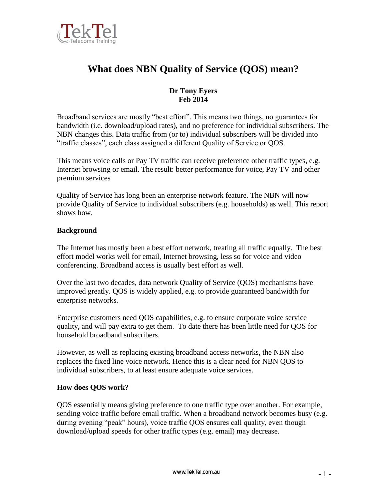

# **What does NBN Quality of Service (QOS) mean?**

# **Dr Tony Eyers Feb 2014**

Broadband services are mostly "best effort". This means two things, no guarantees for bandwidth (i.e. download/upload rates), and no preference for individual subscribers. The NBN changes this. Data traffic from (or to) individual subscribers will be divided into "traffic classes", each class assigned a different Quality of Service or QOS.

This means voice calls or Pay TV traffic can receive preference other traffic types, e.g. Internet browsing or email. The result: better performance for voice, Pay TV and other premium services

Quality of Service has long been an enterprise network feature. The NBN will now provide Quality of Service to individual subscribers (e.g. households) as well. This report shows how.

## **Background**

The Internet has mostly been a best effort network, treating all traffic equally. The best effort model works well for email, Internet browsing, less so for voice and video conferencing. Broadband access is usually best effort as well.

Over the last two decades, data network Quality of Service (QOS) mechanisms have improved greatly. QOS is widely applied, e.g. to provide guaranteed bandwidth for enterprise networks.

Enterprise customers need QOS capabilities, e.g. to ensure corporate voice service quality, and will pay extra to get them. To date there has been little need for QOS for household broadband subscribers.

However, as well as replacing existing broadband access networks, the NBN also replaces the fixed line voice network. Hence this is a clear need for NBN QOS to individual subscribers, to at least ensure adequate voice services.

### **How does QOS work?**

QOS essentially means giving preference to one traffic type over another. For example, sending voice traffic before email traffic. When a broadband network becomes busy (e.g. during evening "peak" hours), voice traffic QOS ensures call quality, even though download/upload speeds for other traffic types (e.g. email) may decrease.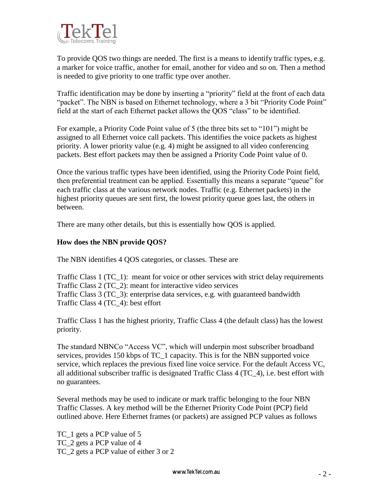

To provide QOS two things are needed. The first is a means to identify traffic types, e.g. a marker for voice traffic, another for email, another for video and so on. Then a method is needed to give priority to one traffic type over another.

Traffic identification may be done by inserting a "priority" field at the front of each data "packet". The NBN is based on Ethernet technology, where a 3 bit "Priority Code Point" field at the start of each Ethernet packet allows the QOS "class" to be identified.

For example, a Priority Code Point value of 5 (the three bits set to "101") might be assigned to all Ethernet voice call packets. This identifies the voice packets as highest priority. A lower priority value (e.g. 4) might be assigned to all video conferencing packets. Best effort packets may then be assigned a Priority Code Point value of 0.

Once the various traffic types have been identified, using the Priority Code Point field, then preferential treatment can be applied. Essentially this means a separate "queue" for each traffic class at the various network nodes. Traffic (e.g. Ethernet packets) in the highest priority queues are sent first, the lowest priority queue goes last, the others in between.

There are many other details, but this is essentially how QOS is applied.

## **How does the NBN provide QOS?**

The NBN identifies 4 QOS categories, or classes. These are

Traffic Class 1 (TC\_1): meant for voice or other services with strict delay requirements Traffic Class 2 (TC\_2): meant for interactive video services Traffic Class 3 (TC\_3): enterprise data services, e.g. with guaranteed bandwidth Traffic Class 4 (TC\_4): best effort

Traffic Class 1 has the highest priority, Traffic Class 4 (the default class) has the lowest priority.

The standard NBNCo "Access VC", which will underpin most subscriber broadband services, provides 150 kbps of TC\_1 capacity. This is for the NBN supported voice service, which replaces the previous fixed line voice service. For the default Access VC, all additional subscriber traffic is designated Traffic Class 4 (TC\_4), i.e. best effort with no guarantees.

Several methods may be used to indicate or mark traffic belonging to the four NBN Traffic Classes. A key method will be the Ethernet Priority Code Point (PCP) field outlined above. Here Ethernet frames (or packets) are assigned PCP values as follows

TC\_1 gets a PCP value of 5 TC\_2 gets a PCP value of 4 TC\_2 gets a PCP value of either 3 or 2